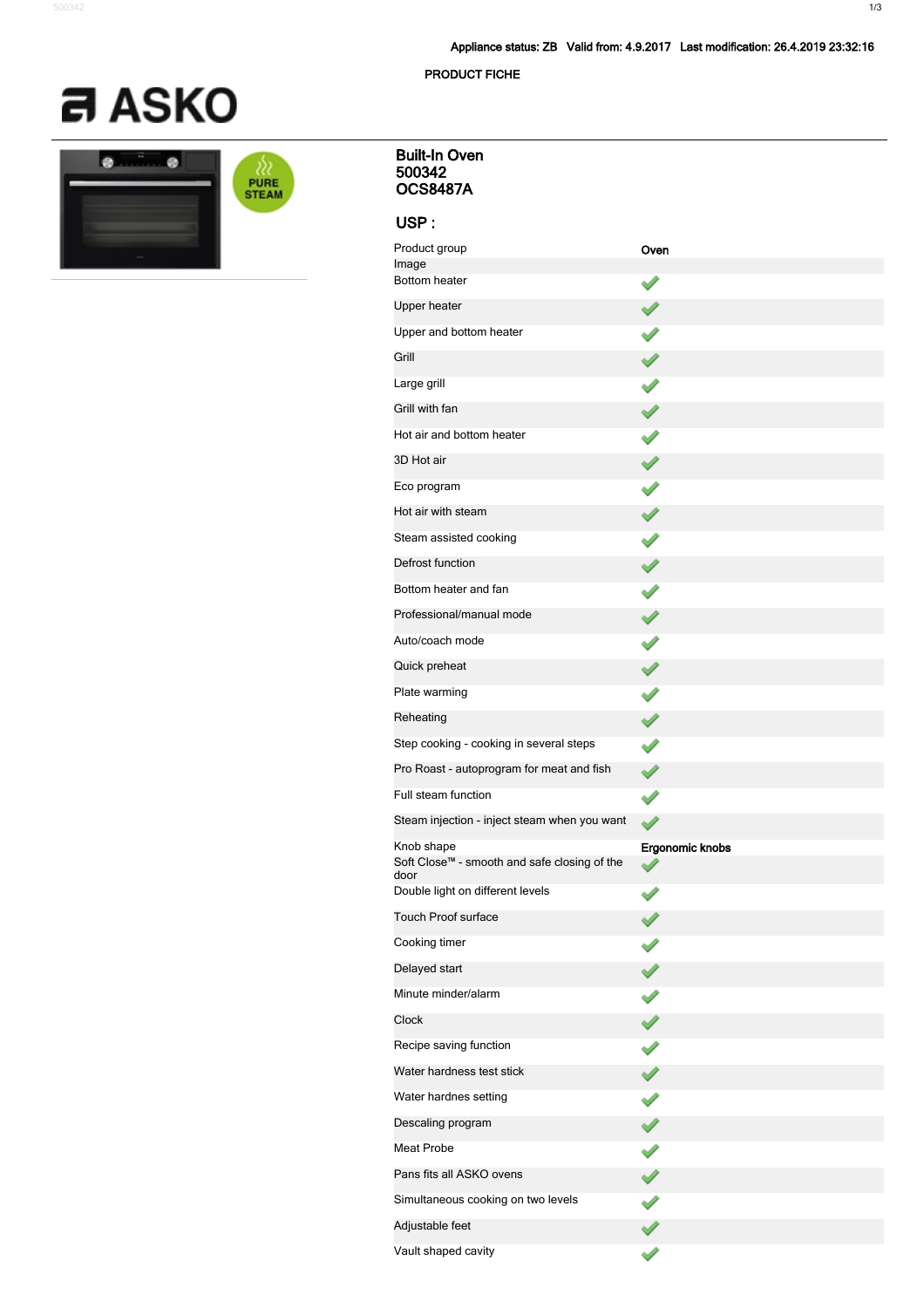**PRODUCT FICHE**



| <b>The Contract of Street</b> | <b>PURE</b><br><b>STEAM</b> |
|-------------------------------|-----------------------------|
|                               |                             |

| <b>Built-In Oven</b><br>500342<br><b>OCS8487A</b>                  |                 |
|--------------------------------------------------------------------|-----------------|
| USP:                                                               |                 |
| Product group                                                      | Oven            |
| Image<br>Bottom heater                                             |                 |
| Upper heater                                                       |                 |
| Upper and bottom heater                                            | $\mathscr{S}$   |
| Grill                                                              | ✔               |
| Large grill                                                        | ✔               |
| Grill with fan                                                     |                 |
| Hot air and bottom heater                                          | $\checkmark$    |
| 3D Hot air                                                         |                 |
| Eco program                                                        | ✔               |
| Hot air with steam                                                 |                 |
| Steam assisted cooking                                             | ✔               |
| Defrost function                                                   |                 |
| Bottom heater and fan                                              |                 |
| Professional/manual mode                                           |                 |
| Auto/coach mode                                                    | Í               |
| Quick preheat                                                      |                 |
| Plate warming                                                      | ✔               |
| Reheating                                                          | √               |
| Step cooking - cooking in several steps                            | ✔               |
| Pro Roast - autoprogram for meat and fish                          | ✔               |
| Full steam function                                                | ✔               |
| Steam injection - inject steam when you want                       |                 |
| Knob shape<br>Soft Close™ - smooth and safe closing of the<br>door | Ergonomic knobs |
| Double light on different levels                                   |                 |
| <b>Touch Proof surface</b>                                         |                 |
| Cooking timer                                                      |                 |
| Delayed start                                                      |                 |
| Minute minder/alarm                                                | ℐ               |
| Clock                                                              |                 |
| Recipe saving function                                             |                 |
| Water hardness test stick                                          |                 |
| Water hardnes setting                                              |                 |
| Descaling program                                                  |                 |
| Meat Probe                                                         |                 |
| Pans fits all ASKO ovens                                           |                 |
| Simultaneous cooking on two levels                                 |                 |
| Adjustable feet                                                    |                 |

 $\overline{\mathscr{S}}$ 

Vault shaped cavity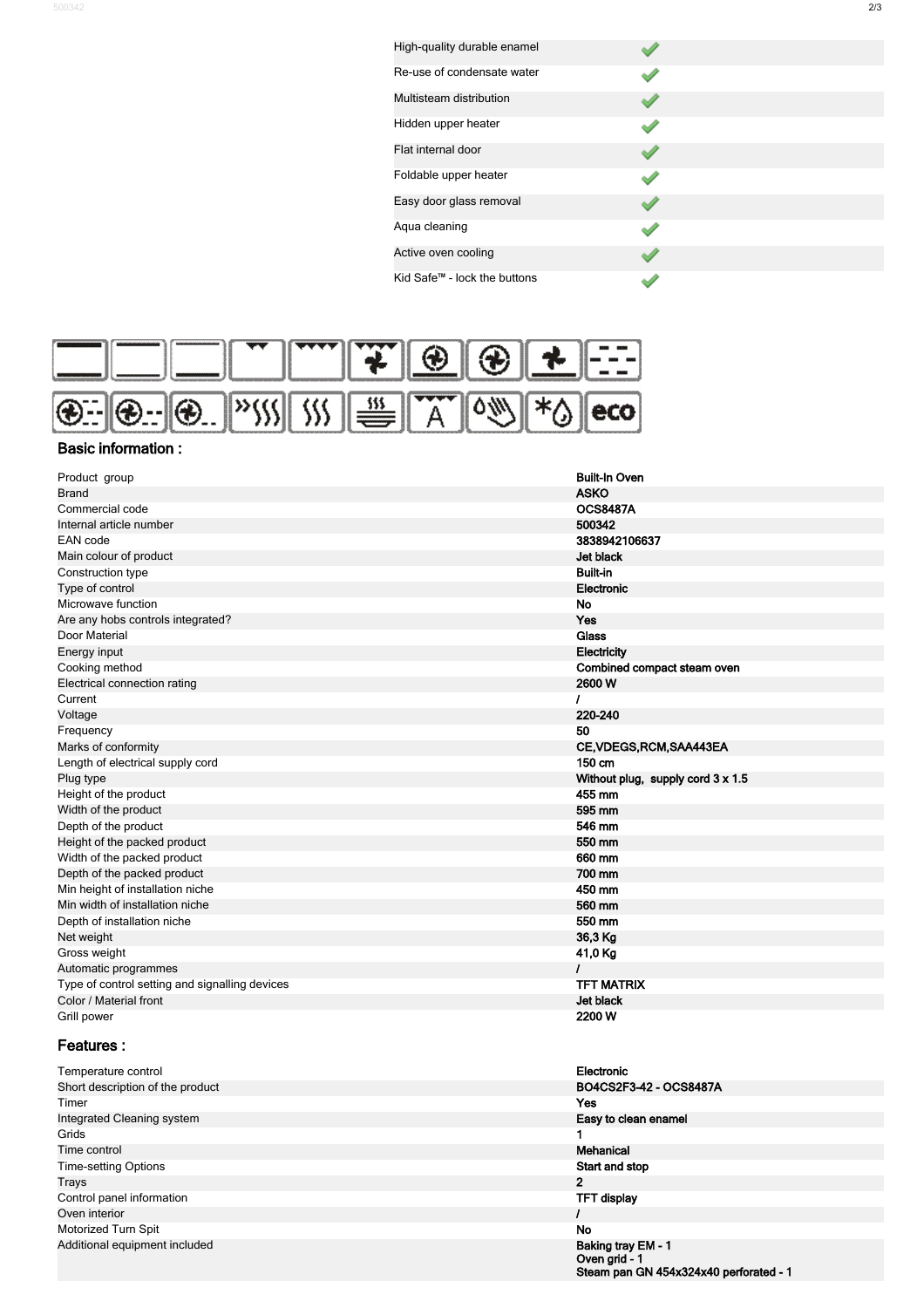| High-quality durable enamel  |  |
|------------------------------|--|
| Re-use of condensate water   |  |
| Multisteam distribution      |  |
| Hidden upper heater          |  |
| Flat internal door           |  |
| Foldable upper heater        |  |
| Easy door glass removal      |  |
| Aqua cleaning                |  |
| Active oven cooling          |  |
| Kid Safe™ - lock the buttons |  |



## **Basic information :**

| Product group                                  | <b>Built-In Oven</b>                     |
|------------------------------------------------|------------------------------------------|
| <b>Brand</b>                                   | <b>ASKO</b>                              |
| Commercial code                                | <b>OCS8487A</b>                          |
| Internal article number                        | 500342                                   |
| EAN code                                       | 3838942106637                            |
| Main colour of product                         | Jet black                                |
| Construction type                              | <b>Built-in</b>                          |
| Type of control                                | Electronic                               |
| Microwave function                             | <b>No</b>                                |
| Are any hobs controls integrated?              | Yes                                      |
| Door Material                                  | <b>Glass</b>                             |
| Energy input                                   | <b>Electricity</b>                       |
| Cooking method                                 | Combined compact steam oven              |
| Electrical connection rating                   | 2600W                                    |
| Current                                        | ı                                        |
| Voltage                                        | 220-240                                  |
| Frequency                                      | 50                                       |
| Marks of conformity                            | CE, VDEGS, RCM, SAA443EA                 |
| Length of electrical supply cord               | 150 cm                                   |
| Plug type                                      | Without plug, supply cord $3 \times 1.5$ |
| Height of the product                          | 455 mm                                   |
| Width of the product                           | 595 mm                                   |
| Depth of the product                           | 546 mm                                   |
| Height of the packed product                   | 550 mm                                   |
| Width of the packed product                    | 660 mm                                   |
| Depth of the packed product                    | 700 mm                                   |
| Min height of installation niche               | 450 mm                                   |
| Min width of installation niche                | 560 mm                                   |
| Depth of installation niche                    | 550 mm                                   |
| Net weight                                     | 36,3 Kg                                  |
| Gross weight                                   | 41,0 Kg                                  |
| Automatic programmes                           | L                                        |
| Type of control setting and signalling devices | <b>TFT MATRIX</b>                        |
| Color / Material front                         | Jet black                                |
| Grill power                                    | 2200 W                                   |

## **Features :**

| Temperature control              | Electronic             |
|----------------------------------|------------------------|
| Short description of the product | BO4CS2F3-42 - OCS8487A |
| Timer                            | Yes                    |
| Integrated Cleaning system       | Easy to clean enamel   |
| Grids                            |                        |
| Time control                     | Mehanical              |
| <b>Time-setting Options</b>      | Start and stop         |
| Trays                            | 2                      |
| Control panel information        | <b>TFT display</b>     |
| Oven interior                    |                        |
| Motorized Turn Spit              | No                     |
| Additional equipment included    | Baking tray EM - 1     |

| Electronic                                                                    |
|-------------------------------------------------------------------------------|
| BO4CS2F3-42 - OCS8487A                                                        |
| Yes                                                                           |
| Easy to clean enamel                                                          |
| 1                                                                             |
| Mehanical                                                                     |
| Start and stop                                                                |
| 2                                                                             |
| <b>TFT display</b>                                                            |
| ı                                                                             |
| No                                                                            |
| Baking tray EM - 1<br>Oven grid - 1<br>Steam pan GN 454x324x40 perforated - 1 |
|                                                                               |